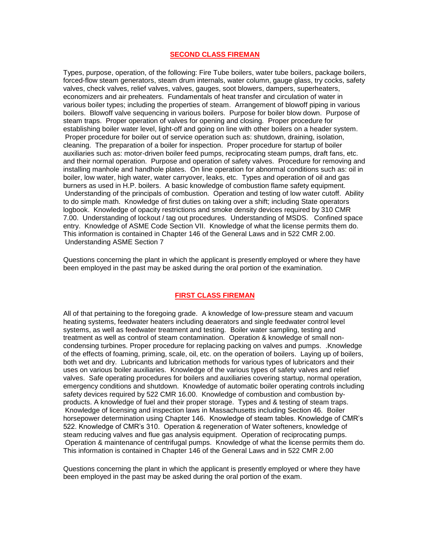# **SECOND CLASS FIREMAN**

Types, purpose, operation, of the following: Fire Tube boilers, water tube boilers, package boilers, forced-flow steam generators, steam drum internals, water column, gauge glass, try cocks, safety valves, check valves, relief valves, valves, gauges, soot blowers, dampers, superheaters, economizers and air preheaters. Fundamentals of heat transfer and circulation of water in various boiler types; including the properties of steam. Arrangement of blowoff piping in various boilers. Blowoff valve sequencing in various boilers. Purpose for boiler blow down. Purpose of steam traps. Proper operation of valves for opening and closing. Proper procedure for establishing boiler water level, light-off and going on line with other boilers on a header system. Proper procedure for boiler out of service operation such as: shutdown, draining, isolation, cleaning. The preparation of a boiler for inspection. Proper procedure for startup of boiler auxiliaries such as: motor-driven boiler feed pumps, reciprocating steam pumps, draft fans, etc. and their normal operation. Purpose and operation of safety valves. Procedure for removing and installing manhole and handhole plates. On line operation for abnormal conditions such as: oil in boiler, low water, high water, water carryover, leaks, etc. Types and operation of oil and gas burners as used in H.P. boilers. A basic knowledge of combustion flame safety equipment. Understanding of the principals of combustion. Operation and testing of low water cutoff. Ability to do simple math. Knowledge of first duties on taking over a shift; including State operators logbook. Knowledge of opacity restrictions and smoke density devices required by 310 CMR 7.00. Understanding of lockout / tag out procedures. Understanding of MSDS. Confined space entry. Knowledge of ASME Code Section VII. Knowledge of what the license permits them do. This information is contained in Chapter 146 of the General Laws and in 522 CMR 2.00. Understanding ASME Section 7

Questions concerning the plant in which the applicant is presently employed or where they have been employed in the past may be asked during the oral portion of the examination.

# **FIRST CLASS FIREMAN**

All of that pertaining to the foregoing grade. A knowledge of low-pressure steam and vacuum heating systems, feedwater heaters including deaerators and single feedwater control level systems, as well as feedwater treatment and testing. Boiler water sampling, testing and treatment as well as control of steam contamination. Operation & knowledge of small noncondensing turbines. Proper procedure for replacing packing on valves and pumps. .Knowledge of the effects of foaming, priming, scale, oil, etc. on the operation of boilers. Laying up of boilers, both wet and dry. Lubricants and lubrication methods for various types of lubricators and their uses on various boiler auxiliaries. Knowledge of the various types of safety valves and relief valves. Safe operating procedures for boilers and auxiliaries covering startup, normal operation, emergency conditions and shutdown. Knowledge of automatic boiler operating controls including safety devices required by 522 CMR 16.00. Knowledge of combustion and combustion byproducts. A knowledge of fuel and their proper storage. Types and & testing of steam traps. Knowledge of licensing and inspection laws in Massachusetts including Section 46. Boiler horsepower determination using Chapter 146. Knowledge of steam tables. Knowledge of CMR's 522. Knowledge of CMR's 310. Operation & regeneration of Water softeners, knowledge of steam reducing valves and flue gas analysis equipment. Operation of reciprocating pumps. Operation & maintenance of centrifugal pumps. Knowledge of what the license permits them do. This information is contained in Chapter 146 of the General Laws and in 522 CMR 2.00

Questions concerning the plant in which the applicant is presently employed or where they have been employed in the past may be asked during the oral portion of the exam.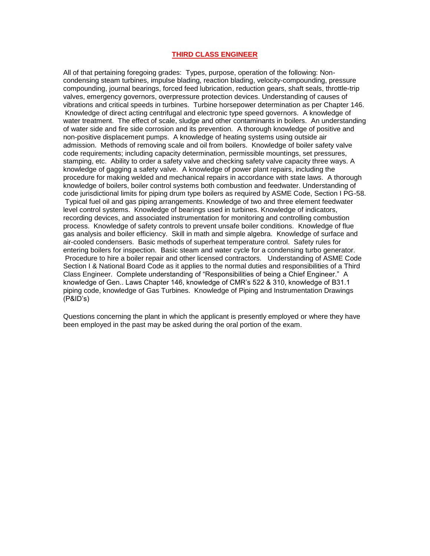# **THIRD CLASS ENGINEER**

All of that pertaining foregoing grades: Types, purpose, operation of the following: Noncondensing steam turbines, impulse blading, reaction blading, velocity-compounding, pressure compounding, journal bearings, forced feed lubrication, reduction gears, shaft seals, throttle-trip valves, emergency governors, overpressure protection devices. Understanding of causes of vibrations and critical speeds in turbines. Turbine horsepower determination as per Chapter 146. Knowledge of direct acting centrifugal and electronic type speed governors. A knowledge of water treatment. The effect of scale, sludge and other contaminants in boilers. An understanding of water side and fire side corrosion and its prevention. A thorough knowledge of positive and non-positive displacement pumps. A knowledge of heating systems using outside air admission. Methods of removing scale and oil from boilers. Knowledge of boiler safety valve code requirements; including capacity determination, permissible mountings, set pressures, stamping, etc. Ability to order a safety valve and checking safety valve capacity three ways. A knowledge of gagging a safety valve. A knowledge of power plant repairs, including the procedure for making welded and mechanical repairs in accordance with state laws. A thorough knowledge of boilers, boiler control systems both combustion and feedwater. Understanding of code jurisdictional limits for piping drum type boilers as required by ASME Code, Section I PG-58. Typical fuel oil and gas piping arrangements. Knowledge of two and three element feedwater level control systems. Knowledge of bearings used in turbines. Knowledge of indicators, recording devices, and associated instrumentation for monitoring and controlling combustion process. Knowledge of safety controls to prevent unsafe boiler conditions. Knowledge of flue gas analysis and boiler efficiency. Skill in math and simple algebra. Knowledge of surface and air-cooled condensers. Basic methods of superheat temperature control. Safety rules for entering boilers for inspection. Basic steam and water cycle for a condensing turbo generator. Procedure to hire a boiler repair and other licensed contractors. Understanding of ASME Code Section I & National Board Code as it applies to the normal duties and responsibilities of a Third Class Engineer. Complete understanding of "Responsibilities of being a Chief Engineer." A knowledge of Gen.. Laws Chapter 146, knowledge of CMR's 522 & 310, knowledge of B31.1 piping code, knowledge of Gas Turbines. Knowledge of Piping and Instrumentation Drawings (P&ID's)

Questions concerning the plant in which the applicant is presently employed or where they have been employed in the past may be asked during the oral portion of the exam.